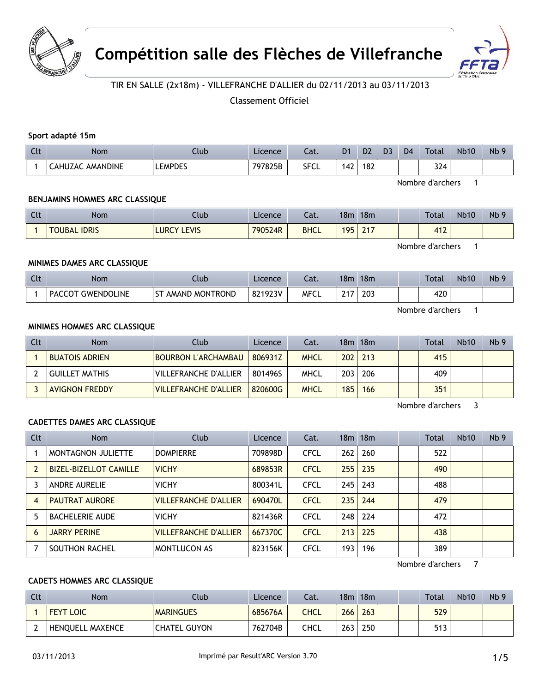



# TIR EN SALLE (2x18m) - VILLEFRANCHE D'ALLIER du 02/11/2013 au 03/11/2013

Classement Officiel

### Sport adapté 15m

| $\mathsf{C}$<br><b>CLC</b> | <b>Nom</b>       | .lub           | Licence | - 21<br>aι. | D <sub>1</sub>        | D <sub>2</sub> | D <sub>3</sub> | D <sub>4</sub> | Total | <b>Nb10</b> | Nb <sub>9</sub> |
|----------------------------|------------------|----------------|---------|-------------|-----------------------|----------------|----------------|----------------|-------|-------------|-----------------|
|                            | CAHUZAC AMANDINE | <b>LEMPDES</b> | 797825B | SFCL        | $\overline{ }$<br>74⊥ | 182            |                |                | 324   |             |                 |

Nombre d'archers 1

### **BENJAMINS HOMMES ARC CLASSIQUE**

| $\sim$<br><b>CLC</b> | <b>Nom</b>                    | Ilub                  | Licence | ำ~+<br>cal. | 18 <sub>m</sub>  | 18 <sub>m</sub>                             |  | <b>Total</b> | <b>Nb10</b> | Nb <sub>9</sub> |
|----------------------|-------------------------------|-----------------------|---------|-------------|------------------|---------------------------------------------|--|--------------|-------------|-----------------|
|                      | <b>TOUBAL</b><br><b>IDRIS</b> | LEVIS<br><b>LURCY</b> | 790524R | <b>BHCL</b> | 105<br><u>JJ</u> | $\mathbf{a} \cdot \mathbf{b}$<br>$\sim$ 1.1 |  | 442<br>t I 4 |             |                 |

Nombre d'archers 1

### **MINIMES DAMES ARC CLASSIQUE**

| $\sim$<br>ີ | <b>Nom</b>                  | Llub           | Licence | ำ~ิ +<br>cal. | 18 <sub>m</sub>      | 18m |  | Total | <b>Nb10</b> | Nb <sub>5</sub> |
|-------------|-----------------------------|----------------|---------|---------------|----------------------|-----|--|-------|-------------|-----------------|
|             | <b>GWENDOLINE</b><br>PACCOT | AMAND MONTROND | 821923V | MFCL          | $\sim$<br><u>_ .</u> | 203 |  | 420   |             |                 |

Nombre d'archers 1

### **MINIMES HOMMES ARC CLASSIQUE**

| Clt | <b>Nom</b>            | <b>Club</b>                  | Licence | Cat.        |                  | 18m 18m     |  | Total | <b>Nb10</b> | Nb <sub>9</sub> |
|-----|-----------------------|------------------------------|---------|-------------|------------------|-------------|--|-------|-------------|-----------------|
|     | <b>BUATOIS ADRIEN</b> | <b>BOURBON L'ARCHAMBAU</b>   | 806931Z | <b>MHCL</b> |                  | $202$   213 |  | 415   |             |                 |
|     | <b>GUILLET MATHIS</b> | VILLEFRANCHE D'ALLIER        | 801496S | MHCL        | 203 <sub>1</sub> | 206         |  | 409   |             |                 |
|     | <b>AVIGNON FREDDY</b> | <b>VILLEFRANCHE D'ALLIER</b> | 820600G | <b>MHCL</b> | 185              | 166         |  | 351   |             |                 |

Nombre d'archers 3

### **CADETTES DAMES ARC CLASSIQUE**

| Clt | <b>Nom</b>                    | Club                         | Licence | Cat.        |     | 18 <sub>m</sub> 18 <sub>m</sub> |  | <b>Total</b> | Nb10 | Nb <sub>9</sub> |
|-----|-------------------------------|------------------------------|---------|-------------|-----|---------------------------------|--|--------------|------|-----------------|
|     | MONTAGNON JULIETTE            | <b>DOMPIERRE</b>             | 709898D | <b>CFCL</b> | 262 | 260                             |  | 522          |      |                 |
|     | <b>BIZEL-BIZELLOT CAMILLE</b> | <b>VICHY</b>                 | 689853R | <b>CFCL</b> | 255 | 235                             |  | 490          |      |                 |
|     | <b>ANDRE AURELIE</b>          | <b>VICHY</b>                 | 800341L | <b>CFCL</b> | 245 | 243                             |  | 488          |      |                 |
| 4   | <b>PAUTRAT AURORE</b>         | <b>VILLEFRANCHE D'ALLIER</b> | 690470L | <b>CFCL</b> | 235 | 244                             |  | 479          |      |                 |
| 5   | <b>BACHELERIE AUDE</b>        | <b>VICHY</b>                 | 821436R | <b>CFCL</b> | 248 | 224                             |  | 472          |      |                 |
| 6   | <b>JARRY PERINE</b>           | <b>VILLEFRANCHE D'ALLIER</b> | 667370C | <b>CFCL</b> | 213 | 225                             |  | 438          |      |                 |
|     | SOUTHON RACHEL                | <b>MONTLUCON AS</b>          | 823156K | <b>CFCL</b> | 193 | 196                             |  | 389          |      |                 |

Nombre d'archers 7

### **CADETS HOMMES ARC CLASSIQUE**

| Clt | Nom                     | Club                | Licence | Cat. | 18m | 18m |  | Total | <b>Nb10</b> | Nb <sub>9</sub> |
|-----|-------------------------|---------------------|---------|------|-----|-----|--|-------|-------------|-----------------|
|     | <b>FEYT LOIC</b>        | <b>MARINGUES</b>    | 685676A | CHCL | 266 | 263 |  | 529   |             |                 |
|     | <b>HENOUELL MAXENCE</b> | <b>CHATEL GUYON</b> | 762704B | CHCL | 263 | 250 |  | 513   |             |                 |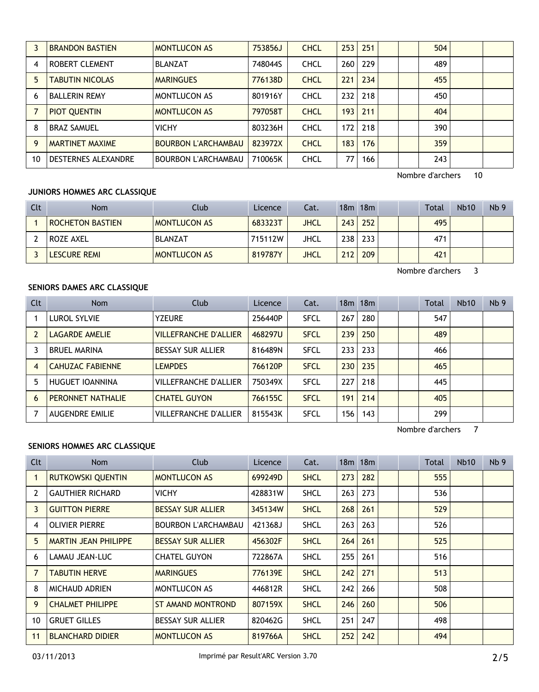|    | <b>BRANDON BASTIEN</b>     | <b>MONTLUCON AS</b>        | 753856J | <b>CHCL</b> | 253 | 251 |  | 504 |  |
|----|----------------------------|----------------------------|---------|-------------|-----|-----|--|-----|--|
| 4  | ROBERT CLEMENT             | <b>BLANZAT</b>             | 748044S | <b>CHCL</b> | 260 | 229 |  | 489 |  |
| 5  | <b>TABUTIN NICOLAS</b>     | <b>MARINGUES</b>           | 776138D | <b>CHCL</b> | 221 | 234 |  | 455 |  |
| 6  | <b>BALLERIN REMY</b>       | MONTLUCON AS               | 801916Y | <b>CHCL</b> | 232 | 218 |  | 450 |  |
|    | <b>PIOT QUENTIN</b>        | <b>MONTLUCON AS</b>        | 797058T | <b>CHCL</b> | 193 | 211 |  | 404 |  |
| 8  | <b>BRAZ SAMUEL</b>         | <b>VICHY</b>               | 803236H | <b>CHCL</b> | 172 | 218 |  | 390 |  |
| 9  | <b>MARTINET MAXIME</b>     | <b>BOURBON L'ARCHAMBAU</b> | 823972X | <b>CHCL</b> | 183 | 176 |  | 359 |  |
| 10 | <b>DESTERNES ALEXANDRE</b> | <b>BOURBON L'ARCHAMBAU</b> | 710065K | <b>CHCL</b> | 77  | 166 |  | 243 |  |

Nombre d'archers 10

### **JUNIORS HOMMES ARC CLASSIQUE**

| Clt | <b>Nom</b>       | Club                | Licence | Cat. |                  | 18m 18m     |  | <b>Total</b> | <b>Nb10</b> | Nb <sub>9</sub> |
|-----|------------------|---------------------|---------|------|------------------|-------------|--|--------------|-------------|-----------------|
|     | ROCHETON BASTIEN | <b>MONTLUCON AS</b> | 683323T | JHCL |                  | $243$ 252   |  | 495          |             |                 |
|     | ROZE AXEL        | <b>BLANZAT</b>      | 715112W | JHCL |                  | $238$   233 |  | 471          |             |                 |
|     | lescure remi     | <b>MONTLUCON AS</b> | 819787Y | JHCL | 212 <sub>1</sub> | 209         |  | 421          |             |                 |

Nombre d'archers 3

# **SENIORS DAMES ARC CLASSIQUE**

| Clt | <b>Nom</b>              | Club                         | Licence | Cat.        |     | 18 <sub>m</sub> 18 <sub>m</sub> |  | Total | Nb10 | Nb <sub>9</sub> |
|-----|-------------------------|------------------------------|---------|-------------|-----|---------------------------------|--|-------|------|-----------------|
|     | <b>LUROL SYLVIE</b>     | <b>YZEURE</b>                | 256440P | <b>SFCL</b> | 267 | 280                             |  | 547   |      |                 |
|     | LAGARDE AMELIE          | <b>VILLEFRANCHE D'ALLIER</b> | 468297U | <b>SFCL</b> | 239 | 250                             |  | 489   |      |                 |
|     | <b>BRUEL MARINA</b>     | <b>BESSAY SUR ALLIER</b>     | 816489N | <b>SFCL</b> | 233 | 233                             |  | 466   |      |                 |
| 4   | <b>CAHUZAC FABIENNE</b> | <b>LEMPDES</b>               | 766120P | <b>SFCL</b> | 230 | 235                             |  | 465   |      |                 |
| 5   | HUGUET IOANNINA         | <b>VILLEFRANCHE D'ALLIER</b> | 750349X | <b>SFCL</b> | 227 | 218                             |  | 445   |      |                 |
| 6   | PERONNET NATHALIE       | <b>CHATEL GUYON</b>          | 766155C | <b>SFCL</b> | 191 | 214                             |  | 405   |      |                 |
|     | <b>AUGENDRE EMILIE</b>  | <b>VILLEFRANCHE D'ALLIER</b> | 815543K | <b>SFCL</b> | 156 | 143                             |  | 299   |      |                 |

Nombre d'archers 7

### **SENIORS HOMMES ARC CLASSIQUE**

| Clt | Nom                         | Club                       | Licence | Cat.        |     | $18m$ 18 $m$ |  | Total | <b>Nb10</b> | Nb <sub>9</sub> |
|-----|-----------------------------|----------------------------|---------|-------------|-----|--------------|--|-------|-------------|-----------------|
|     | <b>RUTKOWSKI QUENTIN</b>    | <b>MONTLUCON AS</b>        | 699249D | <b>SHCL</b> | 273 | 282          |  | 555   |             |                 |
| 2   | <b>GAUTHIER RICHARD</b>     | VICHY                      | 428831W | <b>SHCL</b> | 263 | 273          |  | 536   |             |                 |
| 3   | <b>GUITTON PIERRE</b>       | <b>BESSAY SUR ALLIER</b>   | 345134W | <b>SHCL</b> | 268 | 261          |  | 529   |             |                 |
| 4   | <b>OLIVIER PIERRE</b>       | <b>BOURBON L'ARCHAMBAU</b> | 421368J | <b>SHCL</b> | 263 | 263          |  | 526   |             |                 |
| 5.  | <b>MARTIN JEAN PHILIPPE</b> | <b>BESSAY SUR ALLIER</b>   | 456302F | <b>SHCL</b> | 264 | 261          |  | 525   |             |                 |
| 6   | LAMAU JEAN-LUC              | <b>CHATEL GUYON</b>        | 722867A | <b>SHCL</b> | 255 | 261          |  | 516   |             |                 |
| 7   | <b>TABUTIN HERVE</b>        | <b>MARINGUES</b>           | 776139E | <b>SHCL</b> | 242 | 271          |  | 513   |             |                 |
| 8   | <b>MICHAUD ADRIEN</b>       | <b>MONTLUCON AS</b>        | 446812R | <b>SHCL</b> | 242 | 266          |  | 508   |             |                 |
| 9.  | <b>CHALMET PHILIPPE</b>     | ST AMAND MONTROND          | 807159X | <b>SHCL</b> | 246 | 260          |  | 506   |             |                 |
| 10  | <b>GRUET GILLES</b>         | <b>BESSAY SUR ALLIER</b>   | 820462G | <b>SHCL</b> | 251 | 247          |  | 498   |             |                 |
| 11  | <b>BLANCHARD DIDIER</b>     | <b>MONTLUCON AS</b>        | 819766A | <b>SHCL</b> | 252 | 242          |  | 494   |             |                 |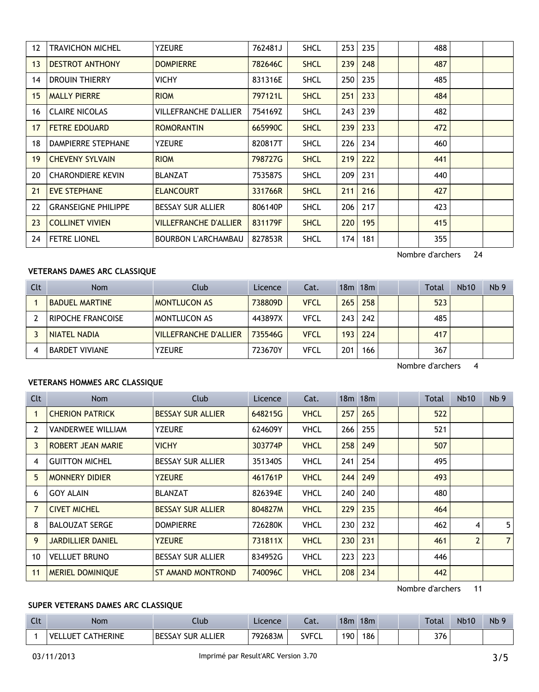| 12 | <b>TRAVICHON MICHEL</b>    | <b>YZEURE</b>                | 762481J | <b>SHCL</b> | 253 | 235 |  | 488 |  |
|----|----------------------------|------------------------------|---------|-------------|-----|-----|--|-----|--|
| 13 | <b>DESTROT ANTHONY</b>     | <b>DOMPIERRE</b>             | 782646C | <b>SHCL</b> | 239 | 248 |  | 487 |  |
| 14 | DROUIN THIERRY             | <b>VICHY</b>                 | 831316E | <b>SHCL</b> | 250 | 235 |  | 485 |  |
| 15 | <b>MALLY PIERRE</b>        | <b>RIOM</b>                  | 797121L | <b>SHCL</b> | 251 | 233 |  | 484 |  |
| 16 | <b>CLAIRE NICOLAS</b>      | <b>VILLEFRANCHE D'ALLIER</b> | 754169Z | <b>SHCL</b> | 243 | 239 |  | 482 |  |
| 17 | <b>FETRE EDOUARD</b>       | <b>ROMORANTIN</b>            | 665990C | <b>SHCL</b> | 239 | 233 |  | 472 |  |
| 18 | DAMPIERRE STEPHANE         | <b>YZEURE</b>                | 820817T | <b>SHCL</b> | 226 | 234 |  | 460 |  |
| 19 | <b>CHEVENY SYLVAIN</b>     | <b>RIOM</b>                  | 798727G | <b>SHCL</b> | 219 | 222 |  | 441 |  |
| 20 | <b>CHARONDIERE KEVIN</b>   | <b>BLANZAT</b>               | 753587S | <b>SHCL</b> | 209 | 231 |  | 440 |  |
| 21 | <b>EVE STEPHANE</b>        | <b>ELANCOURT</b>             | 331766R | <b>SHCL</b> | 211 | 216 |  | 427 |  |
| 22 | <b>GRANSEIGNE PHILIPPE</b> | <b>BESSAY SUR ALLIER</b>     | 806140P | <b>SHCL</b> | 206 | 217 |  | 423 |  |
| 23 | <b>COLLINET VIVIEN</b>     | <b>VILLEFRANCHE D'ALLIER</b> | 831179F | <b>SHCL</b> | 220 | 195 |  | 415 |  |
| 24 | <b>FETRE LIONEL</b>        | <b>BOURBON L'ARCHAMBAU</b>   | 827853R | <b>SHCL</b> | 174 | 181 |  | 355 |  |
|    |                            |                              |         |             |     |     |  |     |  |

# Nombre d'archers 24

# **VETERANS DAMES ARC CLASSIQUE**

| Clt | <b>Nom</b>            | Club                         | Licence | Cat.        |     | $18m$ 18 $m$ |  | Total | <b>Nb10</b> | Nb <sub>9</sub> |
|-----|-----------------------|------------------------------|---------|-------------|-----|--------------|--|-------|-------------|-----------------|
|     | <b>BADUEL MARTINE</b> | <b>MONTLUCON AS</b>          | 738809D | <b>VFCL</b> | 265 | 258          |  | 523   |             |                 |
|     | RIPOCHE FRANCOISE     | <b>MONTLUCON AS</b>          | 443897X | VFCL        | 243 | 242          |  | 485   |             |                 |
|     | <b>NIATEL NADIA</b>   | <b>VILLEFRANCHE D'ALLIER</b> | 735546G | <b>VFCL</b> | 193 | 224          |  | 417   |             |                 |
| 4   | <b>BARDET VIVIANE</b> | <b>YZEURE</b>                | 723670Y | VFCL        | 201 | 166          |  | 367   |             |                 |

Nombre d'archers 4

### **VETERANS HOMMES ARC CLASSIQUE**

| Clt | <b>Nom</b>               | Club                     | Licence | Cat.        |     | $18m$ 18 $m$ |  | Total | <b>Nb10</b>    | Nb <sub>9</sub> |
|-----|--------------------------|--------------------------|---------|-------------|-----|--------------|--|-------|----------------|-----------------|
|     | <b>CHERION PATRICK</b>   | <b>BESSAY SUR ALLIER</b> | 648215G | <b>VHCL</b> | 257 | 265          |  | 522   |                |                 |
| 2   | <b>VANDERWEE WILLIAM</b> | <b>YZEURE</b>            | 624609Y | <b>VHCL</b> | 266 | 255          |  | 521   |                |                 |
| 3   | <b>ROBERT JEAN MARIE</b> | <b>VICHY</b>             | 303774P | <b>VHCL</b> | 258 | 249          |  | 507   |                |                 |
| 4   | <b>GUITTON MICHEL</b>    | <b>BESSAY SUR ALLIER</b> | 351340S | <b>VHCL</b> | 241 | 254          |  | 495   |                |                 |
| 5.  | <b>MONNERY DIDIER</b>    | <b>YZEURE</b>            | 461761P | <b>VHCL</b> | 244 | 249          |  | 493   |                |                 |
| 6   | <b>GOY ALAIN</b>         | <b>BLANZAT</b>           | 826394E | VHCL        | 240 | 240          |  | 480   |                |                 |
| 7   | <b>CIVET MICHEL</b>      | <b>BESSAY SUR ALLIER</b> | 804827M | <b>VHCL</b> | 229 | 235          |  | 464   |                |                 |
| 8   | <b>BALOUZAT SERGE</b>    | <b>DOMPIERRE</b>         | 726280K | <b>VHCL</b> | 230 | 232          |  | 462   | 4              | 5               |
| 9   | <b>JARDILLIER DANIEL</b> | <b>YZEURE</b>            | 731811X | <b>VHCL</b> | 230 | 231          |  | 461   | $\overline{2}$ | $\overline{7}$  |
| 10  | <b>VELLUET BRUNO</b>     | <b>BESSAY SUR ALLIER</b> | 834952G | <b>VHCL</b> | 223 | 223          |  | 446   |                |                 |
| 11  | <b>MERIEL DOMINIQUE</b>  | ST AMAND MONTROND        | 740096C | <b>VHCL</b> | 208 | 234          |  | 442   |                |                 |

Nombre d'archers 11

# **SUPER VETERANS DAMES ARC CLASSIQUE**

| Clt | <b>Nom</b>             | Ilub                                      | Licence | $\sim$<br>-al. | 18m | 18 <sub>m</sub> |  | <b>Total</b> | <b>Nb10</b> | N <sub>b</sub> 9 |
|-----|------------------------|-------------------------------------------|---------|----------------|-----|-----------------|--|--------------|-------------|------------------|
|     | THERINE<br>VEL<br>_UET | lier<br><b>BESSAY</b><br><b>SUR</b><br>AL | 792683M | <b>SVFCL</b>   | 190 | 186             |  | 77/<br>376   |             |                  |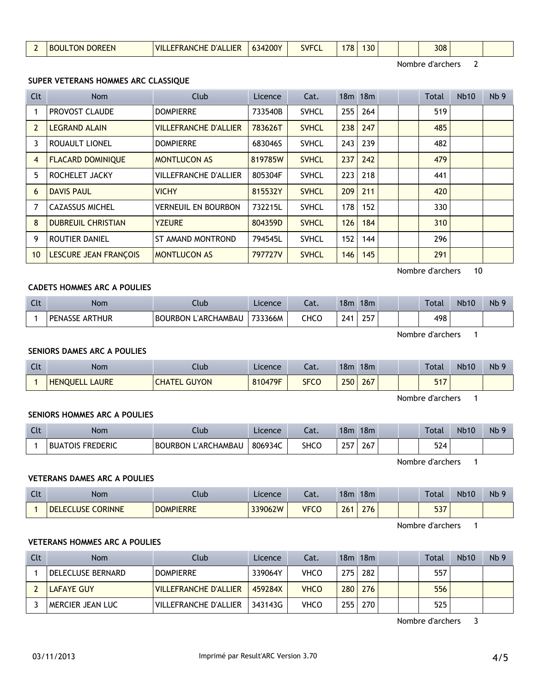# **SENIORS HOMMES ARC A POULIES**

| Clt | Nom                     | Club                | Licence | Cat. | 18 <sub>m</sub> | 18 <sub>m</sub> | <b>Total</b>     | <b>Nb10</b> | Nb <sub>9</sub> |
|-----|-------------------------|---------------------|---------|------|-----------------|-----------------|------------------|-------------|-----------------|
|     | <b>BUATOIS FREDERIC</b> | BOURBON L'ARCHAMBAU | 806934C | SHCO | 257             | 267             | 524              |             |                 |
|     |                         |                     |         |      |                 |                 | Nombre d'archers |             |                 |

# **VETERANS DAMES ARC A POULIES**

| Clt | <b>Nom</b>               | Club             | Licence | Cat.        | 18m | 18m | Total            | <b>Nb10</b> | Nb <sub>9</sub> |
|-----|--------------------------|------------------|---------|-------------|-----|-----|------------------|-------------|-----------------|
|     | <b>DELECLUSE CORINNE</b> | <b>DOMPIERRE</b> | 339062W | <b>VFCO</b> | 261 | 276 | 537              |             |                 |
|     |                          |                  |         |             |     |     | Nombre d'archers |             |                 |

# **VETERANS HOMMES ARC A POULIES**

| Clt | <b>Nom</b>        | Club                    | Licence | Cat.        | 18m | 18m |  | <b>Total</b> | <b>Nb10</b> | Nb <sub>9</sub> |
|-----|-------------------|-------------------------|---------|-------------|-----|-----|--|--------------|-------------|-----------------|
|     | DELECLUSE BERNARD | <b>DOMPIERRE</b>        | 339064Y | VHCO        | 275 | 282 |  | 557          |             |                 |
|     | LAFAYE GUY        | I VILLEFRANCHE D'ALLIER | 459284X | <b>VHCO</b> | 280 | 276 |  | 556          |             |                 |
|     | MERCIER JEAN LUC  | I VILLEFRANCHE D'ALLIER | 343143G | VHCO        | 255 | 270 |  | 525          |             |                 |

Nombre d'archers 3

# **SUPER VETERANS HOMMES ARC CLASSIQUE**

| Clt             | <b>Nom</b>                | Club                         | Licence | Cat.         |     | 18m 18m | Total            | <b>Nb10</b> | Nb <sub>9</sub> |
|-----------------|---------------------------|------------------------------|---------|--------------|-----|---------|------------------|-------------|-----------------|
|                 | PROVOST CLAUDE            | <b>DOMPIERRE</b>             | 733540B | <b>SVHCL</b> | 255 | 264     | 519              |             |                 |
| 2               | <b>LEGRAND ALAIN</b>      | <b>VILLEFRANCHE D'ALLIER</b> | 783626T | <b>SVHCL</b> | 238 | 247     | 485              |             |                 |
| 3               | <b>ROUAULT LIONEL</b>     | <b>DOMPIERRE</b>             | 683046S | <b>SVHCL</b> | 243 | 239     | 482              |             |                 |
| 4               | <b>FLACARD DOMINIQUE</b>  | <b>MONTLUCON AS</b>          | 819785W | <b>SVHCL</b> | 237 | 242     | 479              |             |                 |
| 5               | ROCHELET JACKY            | <b>VILLEFRANCHE D'ALLIER</b> | 805304F | <b>SVHCL</b> | 223 | 218     | 441              |             |                 |
| 6               | <b>DAVIS PAUL</b>         | <b>VICHY</b>                 | 815532Y | <b>SVHCL</b> | 209 | 211     | 420              |             |                 |
| 7               | <b>CAZASSUS MICHEL</b>    | <b>VERNEUIL EN BOURBON</b>   | 732215L | <b>SVHCL</b> | 178 | 152     | 330              |             |                 |
| 8               | <b>DUBREUIL CHRISTIAN</b> | <b>YZEURE</b>                | 804359D | <b>SVHCL</b> | 126 | 184     | 310              |             |                 |
| 9               | ROUTIER DANIEL            | <b>ST AMAND MONTROND</b>     | 794545L | <b>SVHCL</b> | 152 | 144     | 296              |             |                 |
| 10 <sup>°</sup> | LESCURE JEAN FRANÇOIS     | <b>MONTLUCON AS</b>          | 797727V | <b>SVHCL</b> | 146 | 145     | 291              |             |                 |
|                 |                           |                              |         |              |     |         | Nombre d'archers | 10          |                 |

# **CADETS HOMMES ARC A POULIES**

**SENIORS DAMES ARC A POULIES**

| $C1+$<br>นเ | Nom            | Ilub                | Licence | Cat. | 18m | 18 <sub>m</sub> |  | Total | <b>Nb10</b> | Nb |
|-------------|----------------|---------------------|---------|------|-----|-----------------|--|-------|-------------|----|
|             | PENASSE ARTHUR | BOURBON L'ARCHAMBAU | 733366M | CHCO | 741 | 257             |  | 498   |             |    |

Nombre d'archers 1

# Clt Nom Club Licence Cat. 18m 18m Total Nb10 Nb 9 1 HENQUELL LAURE CHATEL GUYON 810479F SFCO 250 267 | | 517

Nombre d'archers 1



Nombre d'archers 2